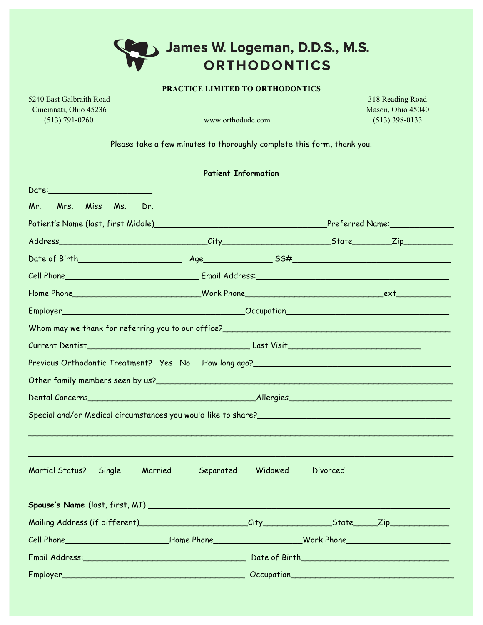## James W. Logeman, D.D.S., M.S. **ORTHODONTICS**

## **PRACTICE LIMITED TO ORTHODONTICS**

5240 East Galbraith Road 318 Reading Road Cincinnati, Ohio 45236 Mason, Ohio 45040 (513) 791-0260 www.orthodude.com (513) 398-0133

**Patient Information** 

Please take a few minutes to thoroughly complete this form, thank you.

|                                                                                                                                                                                                                                | Patient Information  |         |          |  |  |  |  |
|--------------------------------------------------------------------------------------------------------------------------------------------------------------------------------------------------------------------------------|----------------------|---------|----------|--|--|--|--|
|                                                                                                                                                                                                                                |                      |         |          |  |  |  |  |
| Mrs. Miss<br>Mr.<br>Ms.                                                                                                                                                                                                        | Dr.                  |         |          |  |  |  |  |
|                                                                                                                                                                                                                                |                      |         |          |  |  |  |  |
|                                                                                                                                                                                                                                |                      |         |          |  |  |  |  |
|                                                                                                                                                                                                                                |                      |         |          |  |  |  |  |
| Cell Phone Continued by Continued Cell Phone Continued by Continued by Continued by Continued by Continued by Continued by Continued by Continued by Continued by Continued by Continued by Continued by Continued by Continue |                      |         |          |  |  |  |  |
|                                                                                                                                                                                                                                |                      |         |          |  |  |  |  |
|                                                                                                                                                                                                                                |                      |         |          |  |  |  |  |
| Whom may we thank for referring you to our office?                                                                                                                                                                             |                      |         |          |  |  |  |  |
|                                                                                                                                                                                                                                |                      |         |          |  |  |  |  |
|                                                                                                                                                                                                                                |                      |         |          |  |  |  |  |
|                                                                                                                                                                                                                                |                      |         |          |  |  |  |  |
|                                                                                                                                                                                                                                |                      |         |          |  |  |  |  |
| Special and/or Medical circumstances you would like to share?<br>Special and/or Medical circumstances you would like to share?                                                                                                 |                      |         |          |  |  |  |  |
|                                                                                                                                                                                                                                |                      |         |          |  |  |  |  |
| Martial Status?<br>Single                                                                                                                                                                                                      | Married<br>Separated | Widowed | Divorced |  |  |  |  |
|                                                                                                                                                                                                                                |                      |         |          |  |  |  |  |
|                                                                                                                                                                                                                                |                      |         |          |  |  |  |  |
| Cell Phone Contract Contract Contract Contract Contract Contract Contract Contract Contract Contract Contract Contract Contract Contract Contract Contract Contract Contract Contract Contract Contract Contract Contract Cont |                      |         |          |  |  |  |  |
|                                                                                                                                                                                                                                |                      |         |          |  |  |  |  |
| Employer Contract Contract Contract Contract Contract Contract Contract Contract Contract Contract Contract Co                                                                                                                 |                      |         |          |  |  |  |  |
|                                                                                                                                                                                                                                |                      |         |          |  |  |  |  |